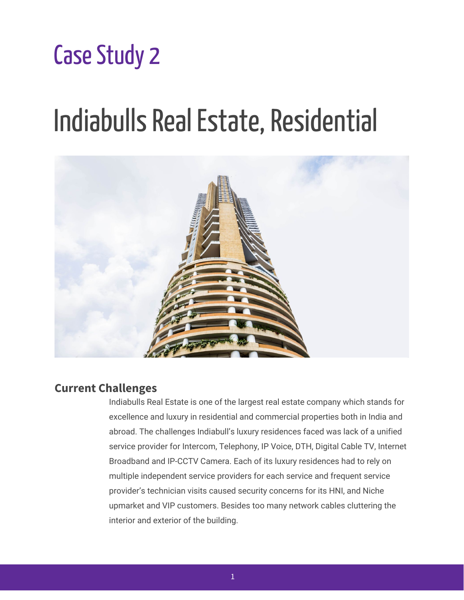# **Case Study 2**

# Indiabulls Real Estate, Residential



## **Current Challenges**

Indiabulls Real Estate is one of the largest real estate company which stands for excellence and luxury in residential and commercial properties both in India and abroad. The challenges Indiabull's luxury residences faced was lack of a unified service provider for Intercom, Telephony, IP Voice, DTH, Digital Cable TV, Internet Broadband and IP-CCTV Camera. Each of its luxury residences had to rely on multiple independent service providers for each service and frequent service provider's technician visits caused security concerns for its HNI, and Niche upmarket and VIP customers. Besides too many network cables cluttering the interior and exterior of the building.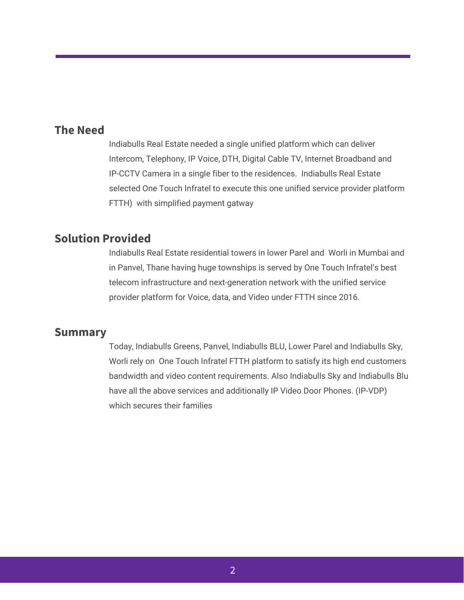#### **The Need**

Indiabulls Real Estate needed a single unified platform which can deliver Intercom, Telephony, IP Voice, DTH, Digital Cable TV, Internet Broadband and IP-CCTV Camera in a single fiber to the residences. Indiabulls Real Estate selected One Touch Infratel to execute this one unified service provider platform FTTH) with simplified payment gatway

## **Solution Provided**

Indiabulls Real Estate residential towers in lower Parel and Worli in Mumbai and in Panvel, Thane having huge townships is served by One Touch Infratel's best telecom infrastructure and next-generation network with the unified service provider platform for Voice, data, and Video under FTTH since 2016.

#### **Summary**

Today, Indiabulls Greens, Panvel, Indiabulls BLU, Lower Parel and Indiabulls Sky, Worli rely on One Touch Infratel FTTH platform to satisfy its high end customers bandwidth and video content requirements. Also Indiabulls Sky and Indiabulls Blu have all the above services and additionally IP Video Door Phones. (IP-VDP) which secures their families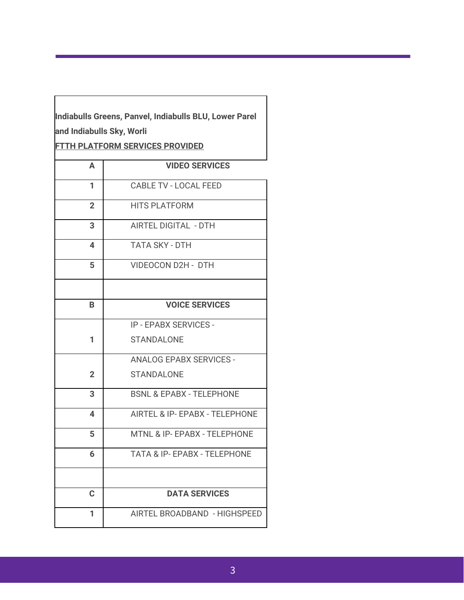| Indiabulls Greens, Panvel, Indiabulls BLU, Lower Parel |
|--------------------------------------------------------|
| and Indiabulls Sky, Worli                              |

**FTTH PLATFORM SERVICES PROVIDED**

| A              | <b>VIDEO SERVICES</b>                   |
|----------------|-----------------------------------------|
| 1              | <b>CABLE TV - LOCAL FEED</b>            |
| $\overline{2}$ | <b>HITS PLATFORM</b>                    |
| 3              | <b>AIRTEL DIGITAL - DTH</b>             |
| 4              | <b>TATA SKY - DTH</b>                   |
| 5              | <b>VIDEOCON D2H - DTH</b>               |
|                |                                         |
| B.             | <b>VOICE SERVICES</b>                   |
|                | <b>IP - EPABX SERVICES -</b>            |
| 1              | <b>STANDALONE</b>                       |
|                | <b>ANALOG EPABX SERVICES -</b>          |
| $\overline{2}$ | <b>STANDALONE</b>                       |
| 3              | <b>BSNL &amp; EPABX - TELEPHONE</b>     |
| 4              | AIRTEL & IP- EPABX - TELEPHONE          |
| 5              | MTNL & IP- EPABX - TELEPHONE            |
| 6              | <b>TATA &amp; IP- EPABX - TELEPHONE</b> |
|                |                                         |
| $\mathbf C$    | <b>DATA SERVICES</b>                    |
| 1              | AIRTEL BROADBAND - HIGHSPEED            |